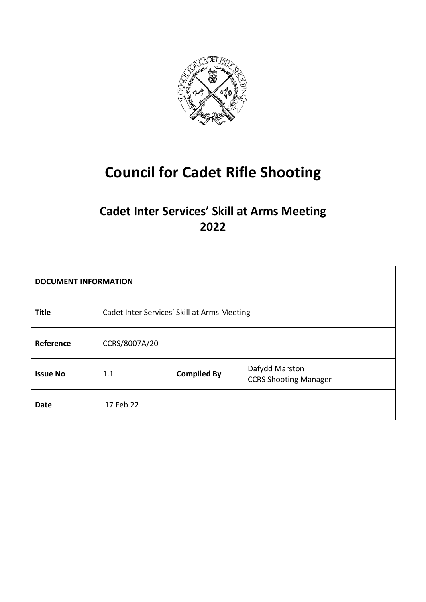

# **Council for Cadet Rifle Shooting**

# **Cadet Inter Services' Skill at Arms Meeting 2022**

| <b>DOCUMENT INFORMATION</b> |                                             |                    |                                                |  |
|-----------------------------|---------------------------------------------|--------------------|------------------------------------------------|--|
| <b>Title</b>                | Cadet Inter Services' Skill at Arms Meeting |                    |                                                |  |
| Reference                   | CCRS/8007A/20                               |                    |                                                |  |
| <b>Issue No</b>             | 1.1                                         | <b>Compiled By</b> | Dafydd Marston<br><b>CCRS Shooting Manager</b> |  |
| <b>Date</b>                 | 17 Feb 22                                   |                    |                                                |  |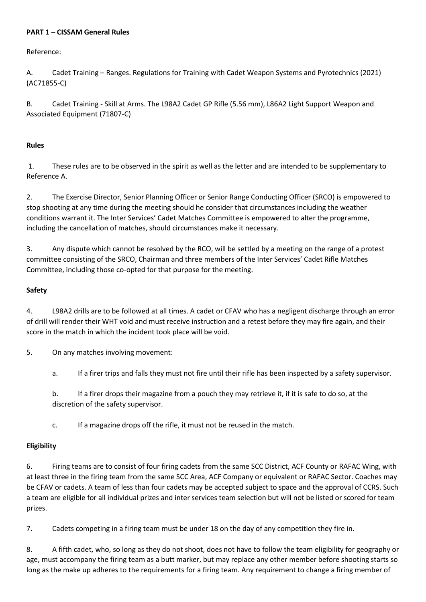#### **PART 1 – CISSAM General Rules**

Reference:

A. Cadet Training – Ranges. Regulations for Training with Cadet Weapon Systems and Pyrotechnics (2021) (AC71855-C)

B. Cadet Training - Skill at Arms. The L98A2 Cadet GP Rifle (5.56 mm), L86A2 Light Support Weapon and Associated Equipment (71807-C)

#### **Rules**

1. These rules are to be observed in the spirit as well as the letter and are intended to be supplementary to Reference A.

2. The Exercise Director, Senior Planning Officer or Senior Range Conducting Officer (SRCO) is empowered to stop shooting at any time during the meeting should he consider that circumstances including the weather conditions warrant it. The Inter Services' Cadet Matches Committee is empowered to alter the programme, including the cancellation of matches, should circumstances make it necessary.

3. Any dispute which cannot be resolved by the RCO, will be settled by a meeting on the range of a protest committee consisting of the SRCO, Chairman and three members of the Inter Services' Cadet Rifle Matches Committee, including those co-opted for that purpose for the meeting.

#### **Safety**

4. L98A2 drills are to be followed at all times. A cadet or CFAV who has a negligent discharge through an error of drill will render their WHT void and must receive instruction and a retest before they may fire again, and their score in the match in which the incident took place will be void.

5. On any matches involving movement:

a. If a firer trips and falls they must not fire until their rifle has been inspected by a safety supervisor.

b. If a firer drops their magazine from a pouch they may retrieve it, if it is safe to do so, at the discretion of the safety supervisor.

c. If a magazine drops off the rifle, it must not be reused in the match.

#### **Eligibility**

6. Firing teams are to consist of four firing cadets from the same SCC District, ACF County or RAFAC Wing, with at least three in the firing team from the same SCC Area, ACF Company or equivalent or RAFAC Sector. Coaches may be CFAV or cadets. A team of less than four cadets may be accepted subject to space and the approval of CCRS. Such a team are eligible for all individual prizes and inter services team selection but will not be listed or scored for team prizes.

7. Cadets competing in a firing team must be under 18 on the day of any competition they fire in.

8. A fifth cadet, who, so long as they do not shoot, does not have to follow the team eligibility for geography or age, must accompany the firing team as a butt marker, but may replace any other member before shooting starts so long as the make up adheres to the requirements for a firing team. Any requirement to change a firing member of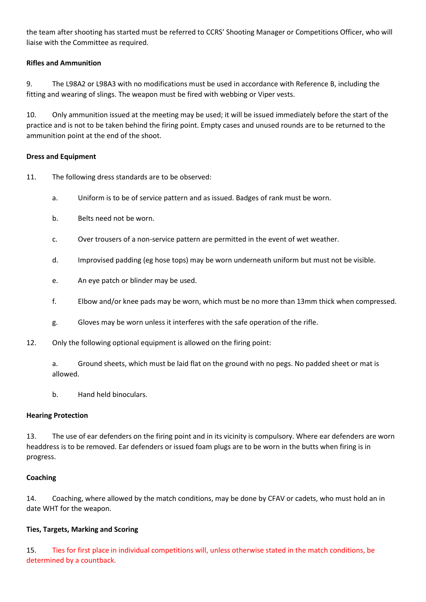the team after shooting has started must be referred to CCRS' Shooting Manager or Competitions Officer, who will liaise with the Committee as required.

#### **Rifles and Ammunition**

9. The L98A2 or L98A3 with no modifications must be used in accordance with Reference B, including the fitting and wearing of slings. The weapon must be fired with webbing or Viper vests.

10. Only ammunition issued at the meeting may be used; it will be issued immediately before the start of the practice and is not to be taken behind the firing point. Empty cases and unused rounds are to be returned to the ammunition point at the end of the shoot.

#### **Dress and Equipment**

- 11. The following dress standards are to be observed:
	- a. Uniform is to be of service pattern and as issued. Badges of rank must be worn.
	- b. Belts need not be worn.
	- c. Over trousers of a non-service pattern are permitted in the event of wet weather.
	- d. Improvised padding (eg hose tops) may be worn underneath uniform but must not be visible.
	- e. An eye patch or blinder may be used.
	- f. Elbow and/or knee pads may be worn, which must be no more than 13mm thick when compressed.
	- g. Gloves may be worn unless it interferes with the safe operation of the rifle.
- 12. Only the following optional equipment is allowed on the firing point:

a. Ground sheets, which must be laid flat on the ground with no pegs. No padded sheet or mat is allowed.

b. Hand held binoculars.

#### **Hearing Protection**

13. The use of ear defenders on the firing point and in its vicinity is compulsory. Where ear defenders are worn headdress is to be removed. Ear defenders or issued foam plugs are to be worn in the butts when firing is in progress.

#### **Coaching**

14. Coaching, where allowed by the match conditions, may be done by CFAV or cadets, who must hold an in date WHT for the weapon.

#### **Ties, Targets, Marking and Scoring**

15. Ties for first place in individual competitions will, unless otherwise stated in the match conditions, be determined by a countback.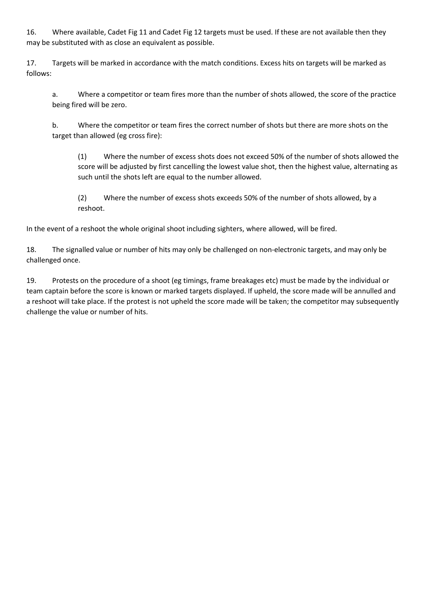16. Where available, Cadet Fig 11 and Cadet Fig 12 targets must be used. If these are not available then they may be substituted with as close an equivalent as possible.

17. Targets will be marked in accordance with the match conditions. Excess hits on targets will be marked as follows:

a. Where a competitor or team fires more than the number of shots allowed, the score of the practice being fired will be zero.

b. Where the competitor or team fires the correct number of shots but there are more shots on the target than allowed (eg cross fire):

(1) Where the number of excess shots does not exceed 50% of the number of shots allowed the score will be adjusted by first cancelling the lowest value shot, then the highest value, alternating as such until the shots left are equal to the number allowed.

(2) Where the number of excess shots exceeds 50% of the number of shots allowed, by a reshoot.

In the event of a reshoot the whole original shoot including sighters, where allowed, will be fired.

18. The signalled value or number of hits may only be challenged on non-electronic targets, and may only be challenged once.

19. Protests on the procedure of a shoot (eg timings, frame breakages etc) must be made by the individual or team captain before the score is known or marked targets displayed. If upheld, the score made will be annulled and a reshoot will take place. If the protest is not upheld the score made will be taken; the competitor may subsequently challenge the value or number of hits.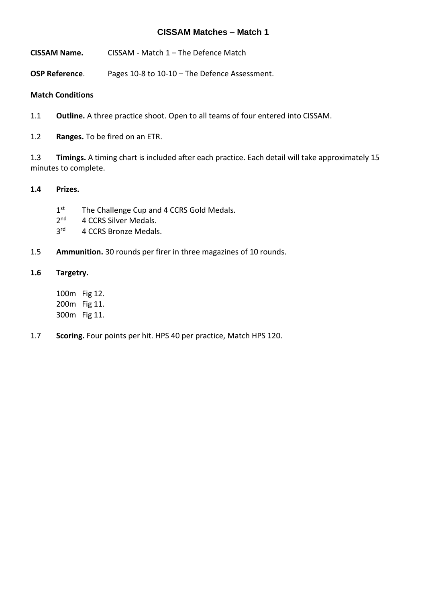**CISSAM Name.** CISSAM - Match 1 – The Defence Match

**OSP Reference**. Pages 10-8 to 10-10 – The Defence Assessment.

#### **Match Conditions**

1.1 **Outline.** A three practice shoot. Open to all teams of four entered into CISSAM.

1.2 **Ranges.** To be fired on an ETR.

1.3 **Timings.** A timing chart is included after each practice. Each detail will take approximately 15 minutes to complete.

#### **1.4 Prizes.**

- $1<sup>st</sup>$ The Challenge Cup and 4 CCRS Gold Medals.
- $2<sup>nd</sup>$ 4 CCRS Silver Medals.
- $3<sup>rd</sup>$ 4 CCRS Bronze Medals.
- 1.5 **Ammunition.** 30 rounds per firer in three magazines of 10 rounds.

#### **1.6 Targetry.**

100m Fig 12. 200m Fig 11. 300m Fig 11.

1.7 **Scoring.** Four points per hit. HPS 40 per practice, Match HPS 120.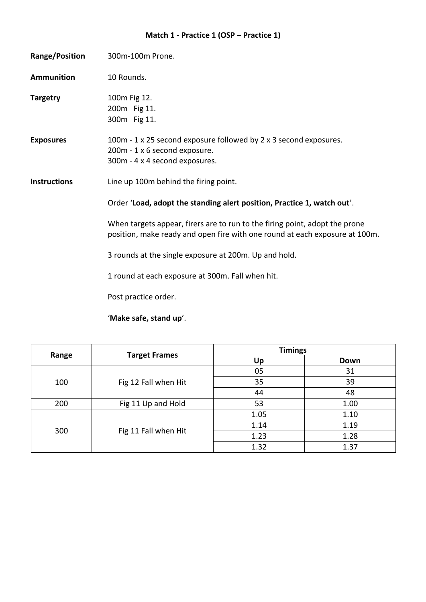# **Match 1 - Practice 1 (OSP – Practice 1)**

| Range/Position      | 300m-100m Prone.                                                                                                                                           |  |  |
|---------------------|------------------------------------------------------------------------------------------------------------------------------------------------------------|--|--|
| <b>Ammunition</b>   | 10 Rounds.                                                                                                                                                 |  |  |
| <b>Targetry</b>     | 100m Fig 12.<br>200m Fig 11.<br>300m Fig 11.                                                                                                               |  |  |
| <b>Exposures</b>    | 100m - 1 x 25 second exposure followed by 2 x 3 second exposures.<br>200m - 1 x 6 second exposure.<br>300m - 4 x 4 second exposures.                       |  |  |
| <b>Instructions</b> | Line up 100m behind the firing point.                                                                                                                      |  |  |
|                     | Order 'Load, adopt the standing alert position, Practice 1, watch out'.                                                                                    |  |  |
|                     | When targets appear, firers are to run to the firing point, adopt the prone<br>position, make ready and open fire with one round at each exposure at 100m. |  |  |
|                     | 3 rounds at the single exposure at 200m. Up and hold.                                                                                                      |  |  |
|                     | 1 round at each exposure at 300m. Fall when hit.                                                                                                           |  |  |
|                     | Post practice order.                                                                                                                                       |  |  |

### '**Make safe, stand up**'.

|       | <b>Target Frames</b> | <b>Timings</b> |      |
|-------|----------------------|----------------|------|
| Range |                      | Up             | Down |
|       | Fig 12 Fall when Hit | 05             | 31   |
| 100   |                      | 35             | 39   |
|       |                      | 44             | 48   |
| 200   | Fig 11 Up and Hold   | 53             | 1.00 |
| 300   | Fig 11 Fall when Hit | 1.05           | 1.10 |
|       |                      | 1.14           | 1.19 |
|       |                      | 1.23           | 1.28 |
|       |                      | 1.32           | 1.37 |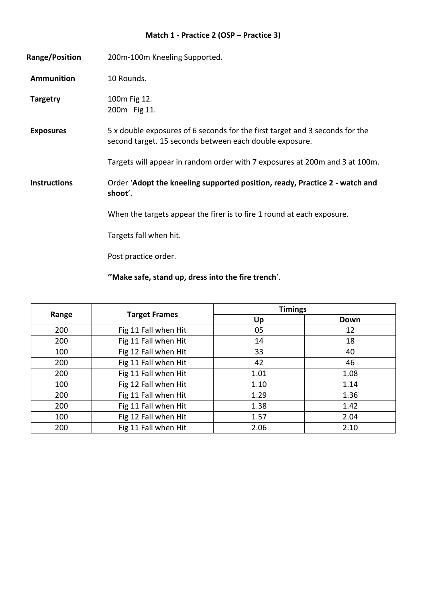#### **Match 1 - Practice 2 (OSP – Practice 3)**

**Range/Position** 200m-100m Kneeling Supported. Ammunition 10 Rounds. **Targetry** 100m Fig 12. 200m Fig 11. **Exposures** 5 x double exposures of 6 seconds for the first target and 3 seconds for the second target. 15 seconds between each double exposure. Targets will appear in random order with 7 exposures at 200m and 3 at 100m. **Instructions** Order '**Adopt the kneeling supported position, ready, Practice 2 - watch and shoot**'. When the targets appear the firer is to fire 1 round at each exposure. Targets fall when hit. Post practice order.

**''Make safe, stand up, dress into the fire trench**'.

|       | <b>Target Frames</b> | <b>Timings</b> |      |
|-------|----------------------|----------------|------|
| Range |                      | Up             | Down |
| 200   | Fig 11 Fall when Hit | 05             | 12   |
| 200   | Fig 11 Fall when Hit | 14             | 18   |
| 100   | Fig 12 Fall when Hit | 33             | 40   |
| 200   | Fig 11 Fall when Hit | 42             | 46   |
| 200   | Fig 11 Fall when Hit | 1.01           | 1.08 |
| 100   | Fig 12 Fall when Hit | 1.10           | 1.14 |
| 200   | Fig 11 Fall when Hit | 1.29           | 1.36 |
| 200   | Fig 11 Fall when Hit | 1.38           | 1.42 |
| 100   | Fig 12 Fall when Hit | 1.57           | 2.04 |
| 200   | Fig 11 Fall when Hit | 2.06           | 2.10 |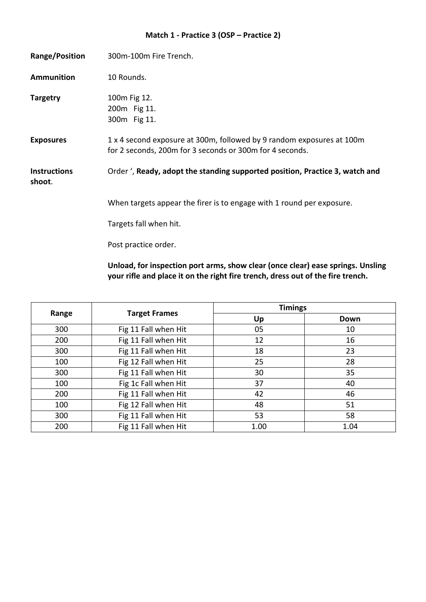#### **Match 1 - Practice 3 (OSP – Practice 2)**

| Range/Position                | 300m-100m Fire Trench.                                                                                                            |
|-------------------------------|-----------------------------------------------------------------------------------------------------------------------------------|
| <b>Ammunition</b>             | 10 Rounds.                                                                                                                        |
| <b>Targetry</b>               | 100m Fig 12.<br>200m Fig 11.<br>300m Fig 11.                                                                                      |
| <b>Exposures</b>              | 1 x 4 second exposure at 300m, followed by 9 random exposures at 100m<br>for 2 seconds, 200m for 3 seconds or 300m for 4 seconds. |
| <b>Instructions</b><br>shoot. | Order ', Ready, adopt the standing supported position, Practice 3, watch and                                                      |
|                               | When targets appear the firer is to engage with 1 round per exposure.                                                             |
|                               | Targets fall when hit.                                                                                                            |
|                               | Post practice order.                                                                                                              |

**Unload, for inspection port arms, show clear (once clear) ease springs. Unsling your rifle and place it on the right fire trench, dress out of the fire trench.**

|       | <b>Target Frames</b> | <b>Timings</b> |      |
|-------|----------------------|----------------|------|
| Range |                      | Up             | Down |
| 300   | Fig 11 Fall when Hit | 05             | 10   |
| 200   | Fig 11 Fall when Hit | 12             | 16   |
| 300   | Fig 11 Fall when Hit | 18             | 23   |
| 100   | Fig 12 Fall when Hit | 25             | 28   |
| 300   | Fig 11 Fall when Hit | 30             | 35   |
| 100   | Fig 1c Fall when Hit | 37             | 40   |
| 200   | Fig 11 Fall when Hit | 42             | 46   |
| 100   | Fig 12 Fall when Hit | 48             | 51   |
| 300   | Fig 11 Fall when Hit | 53             | 58   |
| 200   | Fig 11 Fall when Hit | 1.00           | 1.04 |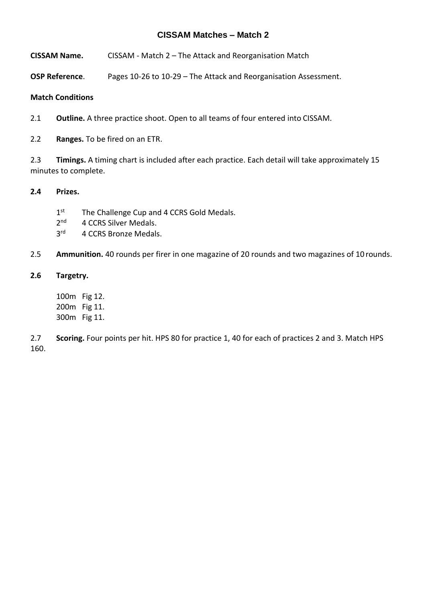- **CISSAM Name.** CISSAM Match 2 The Attack and Reorganisation Match
- **OSP Reference**. Pages 10-26 to 10-29 The Attack and Reorganisation Assessment.

#### **Match Conditions**

- 2.1 **Outline.** A three practice shoot. Open to all teams of four entered into CISSAM.
- 2.2 **Ranges.** To be fired on an ETR.

2.3 **Timings.** A timing chart is included after each practice. Each detail will take approximately 15 minutes to complete.

#### **2.4 Prizes.**

- $1<sup>st</sup>$ The Challenge Cup and 4 CCRS Gold Medals.
- $2<sup>nd</sup>$ 4 CCRS Silver Medals.
- $3<sup>rd</sup>$ 4 CCRS Bronze Medals.

2.5 **Ammunition.** 40 rounds per firer in one magazine of 20 rounds and two magazines of 10 rounds.

#### **2.6 Targetry.**

100m Fig 12. 200m Fig 11. 300m Fig 11.

2.7 **Scoring.** Four points per hit. HPS 80 for practice 1, 40 for each of practices 2 and 3. Match HPS 160.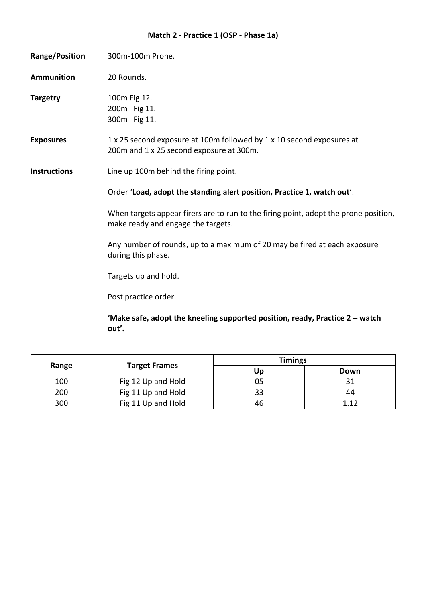# **Match 2 - Practice 1 (OSP - Phase 1a)**

| <b>Range/Position</b> | 300m-100m Prone.                                                                                                           |  |  |
|-----------------------|----------------------------------------------------------------------------------------------------------------------------|--|--|
| <b>Ammunition</b>     | 20 Rounds.                                                                                                                 |  |  |
| <b>Targetry</b>       | 100m Fig 12.<br>200m Fig 11.<br>300m Fig 11.                                                                               |  |  |
| <b>Exposures</b>      | 1 x 25 second exposure at 100m followed by 1 x 10 second exposures at<br>200m and 1 x 25 second exposure at 300m.          |  |  |
| <b>Instructions</b>   | Line up 100m behind the firing point.                                                                                      |  |  |
|                       | Order 'Load, adopt the standing alert position, Practice 1, watch out'.                                                    |  |  |
|                       | When targets appear firers are to run to the firing point, adopt the prone position,<br>make ready and engage the targets. |  |  |
|                       | Any number of rounds, up to a maximum of 20 may be fired at each exposure<br>during this phase.                            |  |  |
|                       | Targets up and hold.                                                                                                       |  |  |
|                       | Post practice order.                                                                                                       |  |  |
|                       |                                                                                                                            |  |  |

**'Make safe, adopt the kneeling supported position, ready, Practice 2 – watch out'.**

| Range | <b>Target Frames</b> | <b>Timings</b> |       |
|-------|----------------------|----------------|-------|
|       |                      | Up             | Down  |
| 100   | Fig 12 Up and Hold   | 05             |       |
| 200   | Fig 11 Up and Hold   | 33             | 44    |
| 300   | Fig 11 Up and Hold   | 46             | 1 1 ว |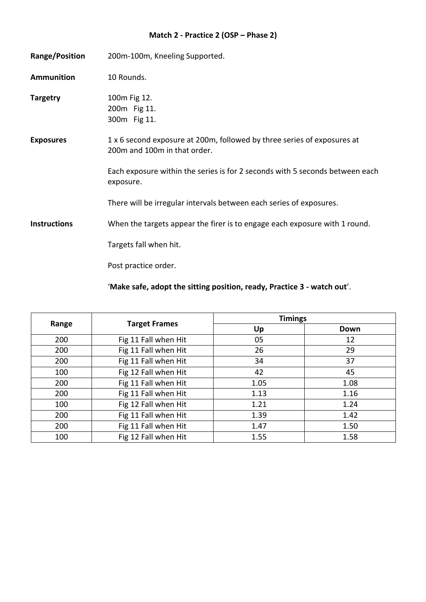# **Match 2 - Practice 2 (OSP – Phase 2)**

| <b>Range/Position</b> | 200m-100m, Kneeling Supported.                                                                          |
|-----------------------|---------------------------------------------------------------------------------------------------------|
| <b>Ammunition</b>     | 10 Rounds.                                                                                              |
| <b>Targetry</b>       | 100m Fig 12.<br>200m Fig 11.<br>300m Fig 11.                                                            |
| <b>Exposures</b>      | 1 x 6 second exposure at 200m, followed by three series of exposures at<br>200m and 100m in that order. |
|                       | Each exposure within the series is for 2 seconds with 5 seconds between each<br>exposure.               |
|                       | There will be irregular intervals between each series of exposures.                                     |
| <b>Instructions</b>   | When the targets appear the firer is to engage each exposure with 1 round.                              |
|                       | Targets fall when hit.                                                                                  |
|                       | Post practice order.                                                                                    |

'**Make safe, adopt the sitting position, ready, Practice 3 - watch out**'.

|       | <b>Target Frames</b> | <b>Timings</b> |      |
|-------|----------------------|----------------|------|
| Range |                      | Up             | Down |
| 200   | Fig 11 Fall when Hit | 05             | 12   |
| 200   | Fig 11 Fall when Hit | 26             | 29   |
| 200   | Fig 11 Fall when Hit | 34             | 37   |
| 100   | Fig 12 Fall when Hit | 42             | 45   |
| 200   | Fig 11 Fall when Hit | 1.05           | 1.08 |
| 200   | Fig 11 Fall when Hit | 1.13           | 1.16 |
| 100   | Fig 12 Fall when Hit | 1.21           | 1.24 |
| 200   | Fig 11 Fall when Hit | 1.39           | 1.42 |
| 200   | Fig 11 Fall when Hit | 1.47           | 1.50 |
| 100   | Fig 12 Fall when Hit | 1.55           | 1.58 |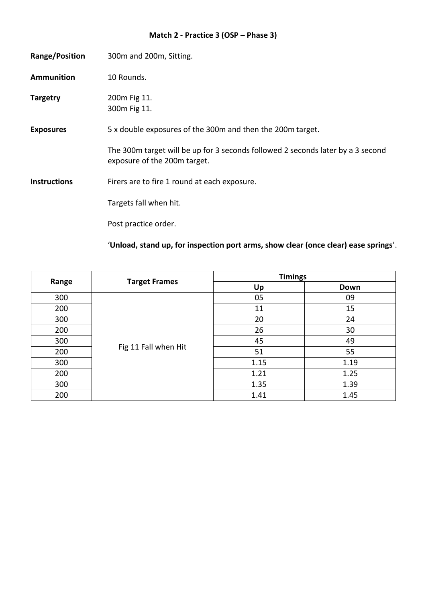# **Match 2 - Practice 3 (OSP – Phase 3)**

| <b>Range/Position</b> | 300m and 200m, Sitting.                                                                                         |
|-----------------------|-----------------------------------------------------------------------------------------------------------------|
| <b>Ammunition</b>     | 10 Rounds.                                                                                                      |
| <b>Targetry</b>       | 200m Fig 11.<br>300m Fig 11.                                                                                    |
| <b>Exposures</b>      | 5 x double exposures of the 300m and then the 200m target.                                                      |
|                       | The 300m target will be up for 3 seconds followed 2 seconds later by a 3 second<br>exposure of the 200m target. |
| <b>Instructions</b>   | Firers are to fire 1 round at each exposure.                                                                    |
|                       | Targets fall when hit.                                                                                          |
|                       | Post practice order.                                                                                            |

'**Unload, stand up, for inspection port arms, show clear (once clear) ease springs**'.

|       | <b>Target Frames</b> | <b>Timings</b> |      |
|-------|----------------------|----------------|------|
| Range |                      | Up             | Down |
| 300   |                      | 05             | 09   |
| 200   |                      | 11             | 15   |
| 300   |                      | 20             | 24   |
| 200   | Fig 11 Fall when Hit | 26             | 30   |
| 300   |                      | 45             | 49   |
| 200   |                      | 51             | 55   |
| 300   |                      | 1.15           | 1.19 |
| 200   |                      | 1.21           | 1.25 |
| 300   |                      | 1.35           | 1.39 |
| 200   |                      | 1.41           | 1.45 |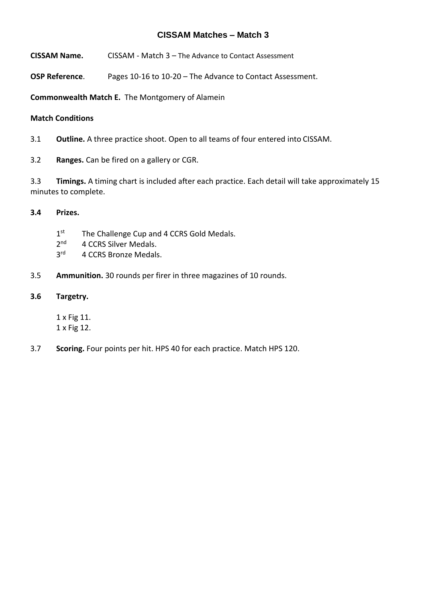- **CISSAM Name.** CISSAM Match 3 The Advance to Contact Assessment
- **OSP Reference**. Pages 10-16 to 10-20 The Advance to Contact Assessment.

**Commonwealth Match E.** The Montgomery of Alamein

#### **Match Conditions**

3.1 **Outline.** A three practice shoot. Open to all teams of four entered into CISSAM.

3.2 **Ranges.** Can be fired on a gallery or CGR.

3.3 **Timings.** A timing chart is included after each practice. Each detail will take approximately 15 minutes to complete.

#### **3.4 Prizes.**

- $1<sup>st</sup>$ The Challenge Cup and 4 CCRS Gold Medals.
- $2<sup>nd</sup>$ 4 CCRS Silver Medals.
- $3<sup>rd</sup>$ 4 CCRS Bronze Medals.
- 3.5 **Ammunition.** 30 rounds per firer in three magazines of 10 rounds.

#### **3.6 Targetry.**

1 x Fig 11. 1 x Fig 12.

3.7 **Scoring.** Four points per hit. HPS 40 for each practice. Match HPS 120.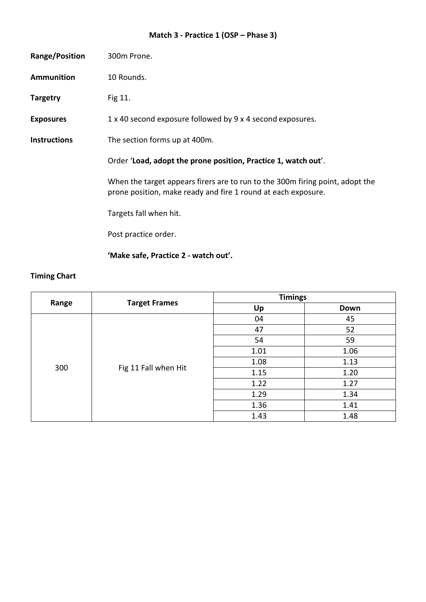# **Match 3 - Practice 1 (OSP – Phase 3)**

| <b>Range/Position</b> | 300m Prone.                                                                                                                                    |
|-----------------------|------------------------------------------------------------------------------------------------------------------------------------------------|
| <b>Ammunition</b>     | 10 Rounds.                                                                                                                                     |
| <b>Targetry</b>       | Fig 11.                                                                                                                                        |
| <b>Exposures</b>      | 1 x 40 second exposure followed by 9 x 4 second exposures.                                                                                     |
| <b>Instructions</b>   | The section forms up at 400m.                                                                                                                  |
|                       | Order 'Load, adopt the prone position, Practice 1, watch out'.                                                                                 |
|                       | When the target appears firers are to run to the 300m firing point, adopt the<br>prone position, make ready and fire 1 round at each exposure. |
|                       | Targets fall when hit.                                                                                                                         |
|                       | Post practice order.                                                                                                                           |
|                       | 'Make safe, Practice 2 - watch out'.                                                                                                           |

|       | <b>Target Frames</b> | <b>Timings</b> |      |
|-------|----------------------|----------------|------|
| Range |                      | Up             | Down |
|       |                      | 04             | 45   |
|       |                      | 47             | 52   |
|       | Fig 11 Fall when Hit | 54             | 59   |
|       |                      | 1.01           | 1.06 |
| 300   |                      | 1.08           | 1.13 |
|       |                      | 1.15           | 1.20 |
|       |                      | 1.22           | 1.27 |
|       |                      | 1.29           | 1.34 |
|       |                      | 1.36           | 1.41 |
|       |                      | 1.43           | 1.48 |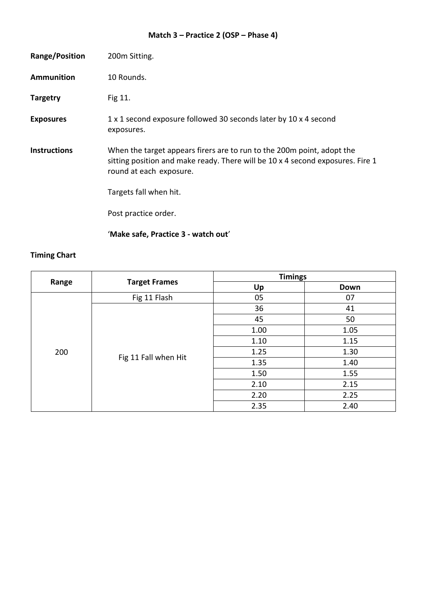# **Match 3 – Practice 2 (OSP – Phase 4)**

| <b>Range/Position</b> | 200m Sitting.                                                                                                                                                                       |
|-----------------------|-------------------------------------------------------------------------------------------------------------------------------------------------------------------------------------|
| <b>Ammunition</b>     | 10 Rounds.                                                                                                                                                                          |
| <b>Targetry</b>       | Fig 11.                                                                                                                                                                             |
| <b>Exposures</b>      | 1 x 1 second exposure followed 30 seconds later by 10 x 4 second<br>exposures.                                                                                                      |
| <b>Instructions</b>   | When the target appears firers are to run to the 200m point, adopt the<br>sitting position and make ready. There will be 10 x 4 second exposures. Fire 1<br>round at each exposure. |
|                       | Targets fall when hit.                                                                                                                                                              |
|                       | Post practice order.                                                                                                                                                                |
|                       | 'Make safe, Practice 3 - watch out'                                                                                                                                                 |

|       | <b>Target Frames</b> | <b>Timings</b> |      |
|-------|----------------------|----------------|------|
| Range |                      | Up             | Down |
|       | Fig 11 Flash         | 05             | 07   |
|       |                      | 36             | 41   |
|       |                      | 45             | 50   |
|       | Fig 11 Fall when Hit | 1.00           | 1.05 |
|       |                      | 1.10           | 1.15 |
| 200   |                      | 1.25           | 1.30 |
|       |                      | 1.35           | 1.40 |
|       |                      | 1.50           | 1.55 |
|       |                      | 2.10           | 2.15 |
|       |                      | 2.20           | 2.25 |
|       |                      | 2.35           | 2.40 |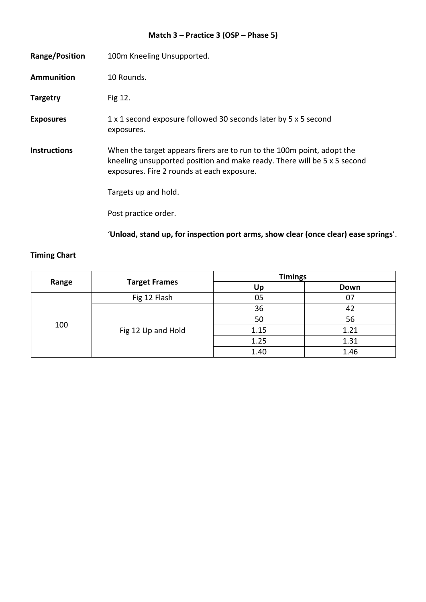# **Match 3 – Practice 3 (OSP – Phase 5)**

| Range/Position      | 100m Kneeling Unsupported.                                                                                                                                                                       |
|---------------------|--------------------------------------------------------------------------------------------------------------------------------------------------------------------------------------------------|
| <b>Ammunition</b>   | 10 Rounds.                                                                                                                                                                                       |
| <b>Targetry</b>     | Fig 12.                                                                                                                                                                                          |
| <b>Exposures</b>    | 1 x 1 second exposure followed 30 seconds later by 5 x 5 second<br>exposures.                                                                                                                    |
| <b>Instructions</b> | When the target appears firers are to run to the 100m point, adopt the<br>kneeling unsupported position and make ready. There will be 5 x 5 second<br>exposures. Fire 2 rounds at each exposure. |
|                     | Targets up and hold.                                                                                                                                                                             |
|                     | Post practice order.                                                                                                                                                                             |
|                     | 'Unload, stand up, for inspection port arms, show clear (once clear) ease springs'.                                                                                                              |

|       | <b>Target Frames</b> | <b>Timings</b> |      |
|-------|----------------------|----------------|------|
| Range |                      | Up             | Down |
| 100   | Fig 12 Flash         | 05             | 07   |
|       | Fig 12 Up and Hold   | 36             | 42   |
|       |                      | 50             | 56   |
|       |                      | 1.15           | 1.21 |
|       |                      | 1.25           | 1.31 |
|       |                      | 1.40           | 1.46 |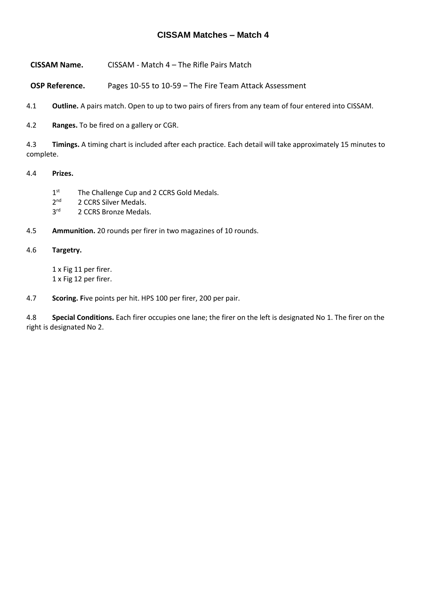- **CISSAM Name.** CISSAM Match 4 The Rifle Pairs Match
- **OSP Reference.** Pages 10-55 to 10-59 The Fire Team Attack Assessment
- 4.1 **Outline.** A pairs match. Open to up to two pairs of firers from any team of four entered into CISSAM.
- 4.2 **Ranges.** To be fired on a gallery or CGR.

4.3 **Timings.** A timing chart is included after each practice. Each detail will take approximately 15 minutes to complete.

#### 4.4 **Prizes.**

- $1<sup>st</sup>$ The Challenge Cup and 2 CCRS Gold Medals.
- $2<sup>nd</sup>$ 2 CCRS Silver Medals.
- $3<sup>rd</sup>$ 2 CCRS Bronze Medals.
- 4.5 **Ammunition.** 20 rounds per firer in two magazines of 10 rounds.

#### 4.6 **Targetry.**

1 x Fig 11 per firer. 1 x Fig 12 per firer.

4.7 **Scoring. F**ive points per hit. HPS 100 per firer, 200 per pair.

4.8 **Special Conditions.** Each firer occupies one lane; the firer on the left is designated No 1. The firer on the right is designated No 2.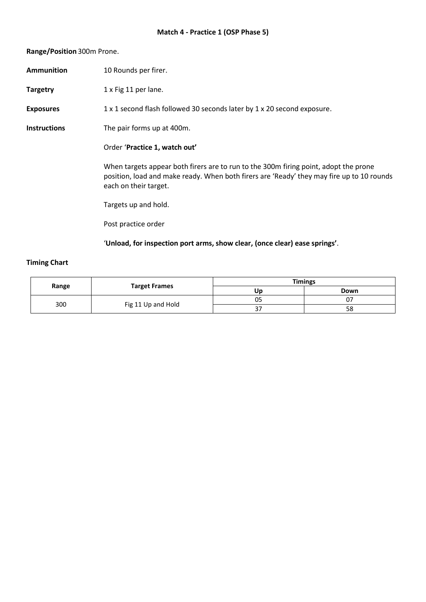#### **Range/Position** 300m Prone.

|                     | 'Unload, for inspection port arms, show clear, (once clear) ease springs'.                                                                                                                                 |
|---------------------|------------------------------------------------------------------------------------------------------------------------------------------------------------------------------------------------------------|
|                     | Post practice order                                                                                                                                                                                        |
|                     | Targets up and hold.                                                                                                                                                                                       |
|                     | When targets appear both firers are to run to the 300m firing point, adopt the prone<br>position, load and make ready. When both firers are 'Ready' they may fire up to 10 rounds<br>each on their target. |
|                     | Order 'Practice 1, watch out'                                                                                                                                                                              |
| <b>Instructions</b> | The pair forms up at 400m.                                                                                                                                                                                 |
| <b>Exposures</b>    | 1 x 1 second flash followed 30 seconds later by 1 x 20 second exposure.                                                                                                                                    |
| <b>Targetry</b>     | 1 x Fig 11 per lane.                                                                                                                                                                                       |
| <b>Ammunition</b>   | 10 Rounds per firer.                                                                                                                                                                                       |

| Range |                      |     | <b>Timings</b> |  |
|-------|----------------------|-----|----------------|--|
|       | <b>Target Frames</b> | Ur  | Down           |  |
|       |                      | 05  | U,             |  |
| 300   | Fig 11 Up and Hold   | ، ب | 58             |  |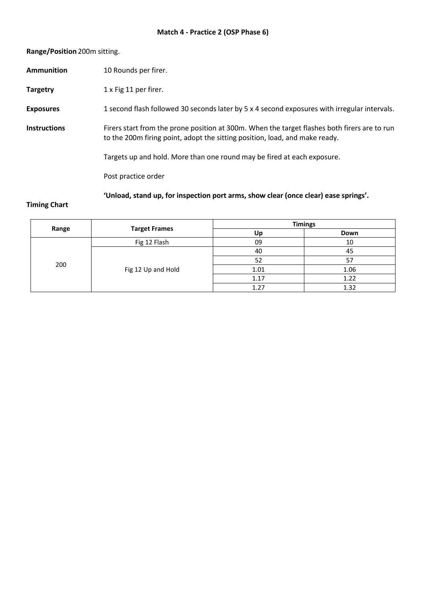#### **Range/Position** 200m sitting.

|                     | 'Unload, stand up, for inspection port arms, show clear (once clear) ease springs'.                                                                                         |
|---------------------|-----------------------------------------------------------------------------------------------------------------------------------------------------------------------------|
|                     | Post practice order                                                                                                                                                         |
|                     | Targets up and hold. More than one round may be fired at each exposure.                                                                                                     |
| <b>Instructions</b> | Firers start from the prone position at 300m. When the target flashes both firers are to run<br>to the 200m firing point, adopt the sitting position, load, and make ready. |
| <b>Exposures</b>    | 1 second flash followed 30 seconds later by 5 x 4 second exposures with irregular intervals.                                                                                |
| <b>Targetry</b>     | 1 x Fig 11 per firer.                                                                                                                                                       |
| <b>Ammunition</b>   | 10 Rounds per firer.                                                                                                                                                        |

|       | <b>Target Frames</b> | <b>Timings</b> |      |
|-------|----------------------|----------------|------|
| Range |                      | Up             | Down |
| 200   | Fig 12 Flash         | 09             | 10   |
|       | Fig 12 Up and Hold   | 40             | 45   |
|       |                      | 52             | 57   |
|       |                      | 1.01           | 1.06 |
|       |                      | 1.17           | 1.22 |
|       |                      | 1.27           | 1.32 |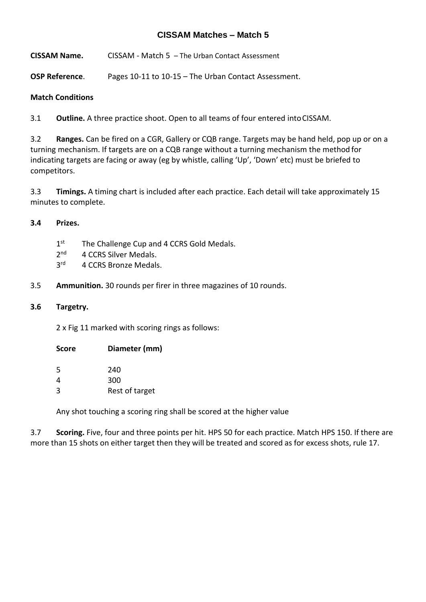**CISSAM Name.** CISSAM - Match 5 – The Urban Contact Assessment

**OSP Reference**. Pages 10-11 to 10-15 – The Urban Contact Assessment.

#### **Match Conditions**

3.1 **Outline.** A three practice shoot. Open to all teams of four entered intoCISSAM.

3.2 **Ranges.** Can be fired on a CGR, Gallery or CQB range. Targets may be hand held, pop up or on a turning mechanism. If targets are on a CQB range without a turning mechanism the method for indicating targets are facing or away (eg by whistle, calling 'Up', 'Down' etc) must be briefed to competitors.

3.3 **Timings.** A timing chart is included after each practice. Each detail will take approximately 15 minutes to complete.

#### **3.4 Prizes.**

- $1<sup>st</sup>$ The Challenge Cup and 4 CCRS Gold Medals.
- $2<sup>nd</sup>$ 4 CCRS Silver Medals.
- $3<sup>rd</sup>$ 4 CCRS Bronze Medals.
- 3.5 **Ammunition.** 30 rounds per firer in three magazines of 10 rounds.

#### **3.6 Targetry.**

2 x Fig 11 marked with scoring rings as follows:

| Diameter (mm)  |
|----------------|
| 240            |
| 300            |
| Rest of target |
|                |

Any shot touching a scoring ring shall be scored at the higher value

3.7 **Scoring.** Five, four and three points per hit. HPS 50 for each practice. Match HPS 150. If there are more than 15 shots on either target then they will be treated and scored as for excess shots, rule 17.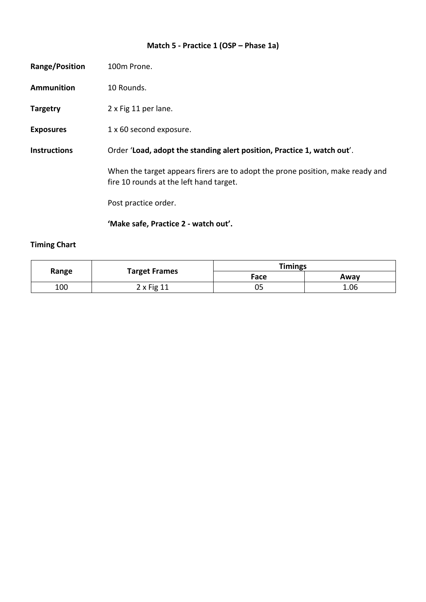# **Match 5 - Practice 1 (OSP – Phase 1a)**

| Range/Position      | 100m Prone.                                                                                                               |
|---------------------|---------------------------------------------------------------------------------------------------------------------------|
| <b>Ammunition</b>   | 10 Rounds.                                                                                                                |
| <b>Targetry</b>     | 2 x Fig 11 per lane.                                                                                                      |
| <b>Exposures</b>    | 1 x 60 second exposure.                                                                                                   |
| <b>Instructions</b> | Order 'Load, adopt the standing alert position, Practice 1, watch out'.                                                   |
|                     | When the target appears firers are to adopt the prone position, make ready and<br>fire 10 rounds at the left hand target. |
|                     | Post practice order.                                                                                                      |
|                     | 'Make safe, Practice 2 - watch out'.                                                                                      |

| Range | <b>Target Frames</b> | <b>Timings</b> |      |
|-------|----------------------|----------------|------|
|       |                      | Face           | Awav |
| 100   | $2 \times$ Fig 11    | 05             | 1.06 |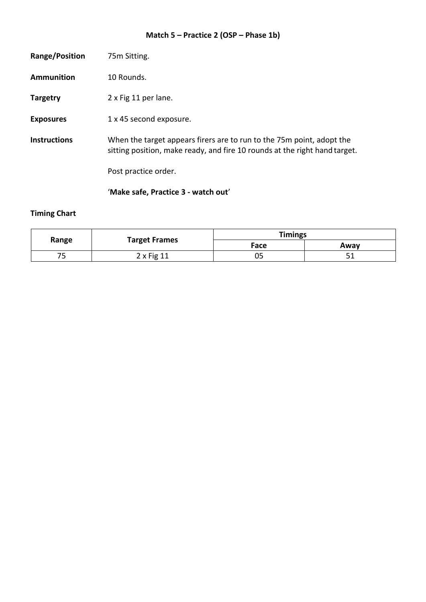# **Match 5 – Practice 2 (OSP – Phase 1b)**

|                     | 'Make safe, Practice 3 - watch out'                                                                                                                 |
|---------------------|-----------------------------------------------------------------------------------------------------------------------------------------------------|
|                     | Post practice order.                                                                                                                                |
| <b>Instructions</b> | When the target appears firers are to run to the 75m point, adopt the<br>sitting position, make ready, and fire 10 rounds at the right hand target. |
| <b>Exposures</b>    | 1 x 45 second exposure.                                                                                                                             |
| <b>Targetry</b>     | 2 x Fig 11 per lane.                                                                                                                                |
| Ammunition          | 10 Rounds.                                                                                                                                          |
| Range/Position      | 75m Sitting.                                                                                                                                        |

| Range | <b>Target Frames</b> | <b>Timings</b> |      |
|-------|----------------------|----------------|------|
|       |                      | Face           | Away |
| 75    | $2x$ Fig 11          | 05             | - -  |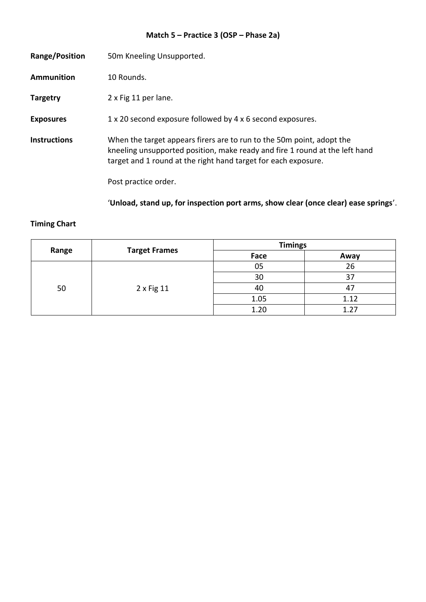# **Match 5 – Practice 3 (OSP – Phase 2a)**

| Range/Position      | 50m Kneeling Unsupported.                                                                                                                                                                                                                      |
|---------------------|------------------------------------------------------------------------------------------------------------------------------------------------------------------------------------------------------------------------------------------------|
| Ammunition          | 10 Rounds.                                                                                                                                                                                                                                     |
| <b>Targetry</b>     | 2 x Fig 11 per lane.                                                                                                                                                                                                                           |
| <b>Exposures</b>    | 1 x 20 second exposure followed by 4 x 6 second exposures.                                                                                                                                                                                     |
| <b>Instructions</b> | When the target appears firers are to run to the 50m point, adopt the<br>kneeling unsupported position, make ready and fire 1 round at the left hand<br>target and 1 round at the right hand target for each exposure.<br>Post practice order. |

'**Unload, stand up, for inspection port arms, show clear (once clear) ease springs**'.

| Range | <b>Target Frames</b> | <b>Timings</b> |       |
|-------|----------------------|----------------|-------|
|       |                      | Face           | Away  |
| 50    | 2 x Fig 11           | 05             | 26    |
|       |                      | 30             | 37    |
|       |                      | 40             | 47    |
|       |                      | 1.05           | 1.12  |
|       |                      | 1.20           | 1 7 7 |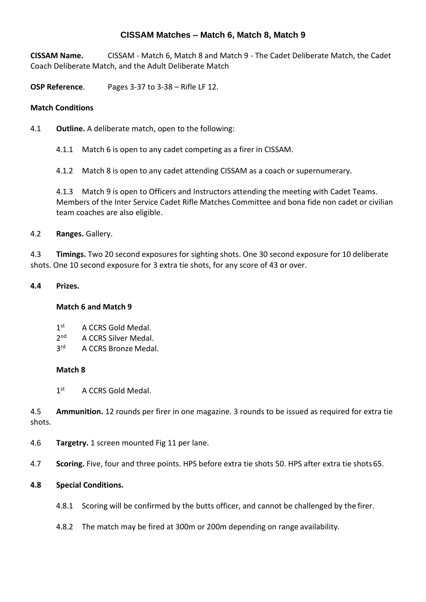## **CISSAM Matches – Match 6, Match 8, Match 9**

**CISSAM Name.** CISSAM - Match 6, Match 8 and Match 9 - The Cadet Deliberate Match, the Cadet Coach Deliberate Match, and the Adult Deliberate Match

**OSP Reference**. Pages 3-37 to 3-38 – Rifle LF 12.

#### **Match Conditions**

- 4.1 **Outline.** A deliberate match, open to the following:
	- 4.1.1 Match 6 is open to any cadet competing as a firer in CISSAM.
	- 4.1.2 Match 8 is open to any cadet attending CISSAM as a coach or supernumerary.

4.1.3 Match 9 is open to Officers and Instructors attending the meeting with Cadet Teams. Members of the Inter Service Cadet Rifle Matches Committee and bona fide non cadet or civilian team coaches are also eligible.

#### 4.2 **Ranges.** Gallery.

4.3 **Timings.** Two 20 second exposures for sighting shots. One 30 second exposure for 10 deliberate shots. One 10 second exposure for 3 extra tie shots, for any score of 43 or over.

#### **4.4 Prizes.**

#### **Match 6 and Match 9**

- $1<sup>st</sup>$ A CCRS Gold Medal.
- $2<sub>nd</sub>$ A CCRS Silver Medal.
- $3<sup>rd</sup>$ A CCRS Bronze Medal.

#### **Match 8**

 $1<sup>st</sup>$ A CCRS Gold Medal.

4.5 **Ammunition.** 12 rounds per firer in one magazine. 3 rounds to be issued as required for extra tie shots.

- 4.6 **Targetry.** 1 screen mounted Fig 11 per lane.
- 4.7 **Scoring.** Five, four and three points. HPS before extra tie shots 50. HPS after extra tie shots65.

#### **4.8 Special Conditions.**

- 4.8.1 Scoring will be confirmed by the butts officer, and cannot be challenged by the firer.
- 4.8.2 The match may be fired at 300m or 200m depending on range availability.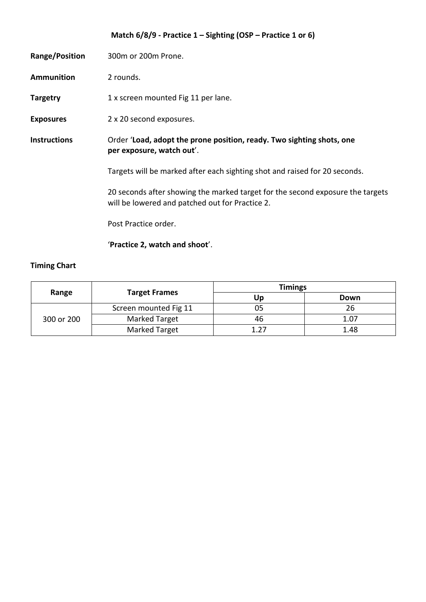|                     | Match $6/8/9$ - Practice 1 – Sighting (OSP – Practice 1 or 6)                                                                     |
|---------------------|-----------------------------------------------------------------------------------------------------------------------------------|
| Range/Position      | 300m or 200m Prone.                                                                                                               |
| <b>Ammunition</b>   | 2 rounds.                                                                                                                         |
| <b>Targetry</b>     | 1 x screen mounted Fig 11 per lane.                                                                                               |
| <b>Exposures</b>    | 2 x 20 second exposures.                                                                                                          |
| <b>Instructions</b> | Order 'Load, adopt the prone position, ready. Two sighting shots, one<br>per exposure, watch out'.                                |
|                     | Targets will be marked after each sighting shot and raised for 20 seconds.                                                        |
|                     | 20 seconds after showing the marked target for the second exposure the targets<br>will be lowered and patched out for Practice 2. |
|                     | Post Practice order.                                                                                                              |
|                     | 'Practice 2, watch and shoot'.                                                                                                    |

| Range      | <b>Target Frames</b>  | <b>Timings</b> |      |
|------------|-----------------------|----------------|------|
|            |                       | Up             | Down |
| 300 or 200 | Screen mounted Fig 11 | 05             | 26   |
|            | Marked Target         | 46             | 1.07 |
|            | Marked Target         | 1 27           | 1.48 |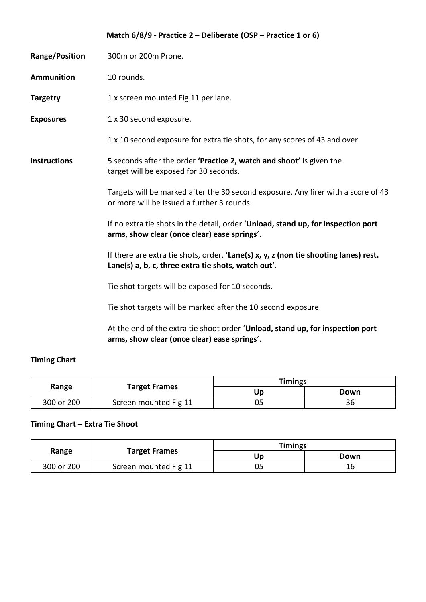|                       | Match $6/8/9$ - Practice 2 – Deliberate (OSP – Practice 1 or 6)                                                                             |
|-----------------------|---------------------------------------------------------------------------------------------------------------------------------------------|
| <b>Range/Position</b> | 300m or 200m Prone.                                                                                                                         |
| <b>Ammunition</b>     | 10 rounds.                                                                                                                                  |
| <b>Targetry</b>       | 1 x screen mounted Fig 11 per lane.                                                                                                         |
| <b>Exposures</b>      | 1 x 30 second exposure.                                                                                                                     |
|                       | 1 x 10 second exposure for extra tie shots, for any scores of 43 and over.                                                                  |
| <b>Instructions</b>   | 5 seconds after the order 'Practice 2, watch and shoot' is given the<br>target will be exposed for 30 seconds.                              |
|                       | Targets will be marked after the 30 second exposure. Any firer with a score of 43<br>or more will be issued a further 3 rounds.             |
|                       | If no extra tie shots in the detail, order 'Unload, stand up, for inspection port<br>arms, show clear (once clear) ease springs'.           |
|                       | If there are extra tie shots, order, 'Lane(s) x, y, z (non tie shooting lanes) rest.<br>Lane(s) a, b, c, three extra tie shots, watch out'. |
|                       | Tie shot targets will be exposed for 10 seconds.                                                                                            |
|                       | Tie shot targets will be marked after the 10 second exposure.                                                                               |
|                       | At the end of the extra tie shoot order 'Hoload stand up for inspection port                                                                |

At the end of the extra tie shoot order '**Unload, stand up, for inspection port arms, show clear (once clear) ease springs**'.

# **Timing Chart**

| Range      | <b>Target Frames</b>  | <b>Timings</b> |      |
|------------|-----------------------|----------------|------|
|            |                       | Up             | Down |
| 300 or 200 | Screen mounted Fig 11 | ັບ             | 36   |

# **Timing Chart – Extra Tie Shoot**

| Range      | <b>Target Frames</b>  | <b>Timings</b> |      |
|------------|-----------------------|----------------|------|
|            |                       |                | Down |
| 300 or 200 | Screen mounted Fig 11 |                | 16   |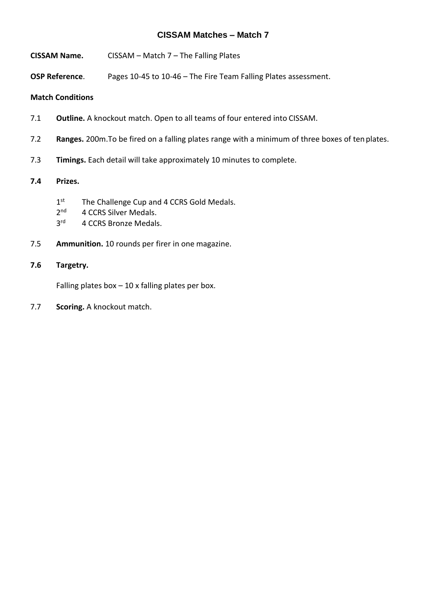- **CISSAM Name.** CISSAM Match 7 The Falling Plates
- **OSP Reference**. Pages 10-45 to 10-46 The Fire Team Falling Plates assessment.

#### **Match Conditions**

- 7.1 **Outline.** A knockout match. Open to all teams of four entered into CISSAM.
- 7.2 **Ranges.** 200m.To be fired on a falling plates range with a minimum of three boxes of tenplates.
- 7.3 **Timings.** Each detail will take approximately 10 minutes to complete.

#### **7.4 Prizes.**

- $1<sup>st</sup>$ The Challenge Cup and 4 CCRS Gold Medals.
- $2<sup>nd</sup>$ 4 CCRS Silver Medals.
- $3<sup>rd</sup>$ 4 CCRS Bronze Medals.
- 7.5 **Ammunition.** 10 rounds per firer in one magazine.

#### **7.6 Targetry.**

Falling plates box  $-10$  x falling plates per box.

7.7 **Scoring.** A knockout match.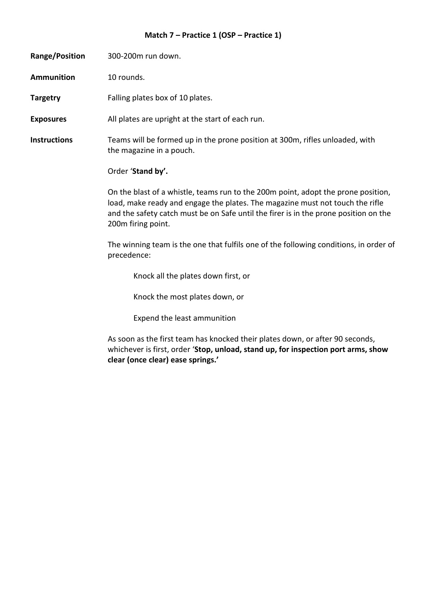# **Match 7 – Practice 1 (OSP – Practice 1)**

| Range/Position      | 300-200m run down.                                                                                                                                                                                                                                                               |
|---------------------|----------------------------------------------------------------------------------------------------------------------------------------------------------------------------------------------------------------------------------------------------------------------------------|
| <b>Ammunition</b>   | 10 rounds.                                                                                                                                                                                                                                                                       |
| <b>Targetry</b>     | Falling plates box of 10 plates.                                                                                                                                                                                                                                                 |
| <b>Exposures</b>    | All plates are upright at the start of each run.                                                                                                                                                                                                                                 |
| <b>Instructions</b> | Teams will be formed up in the prone position at 300m, rifles unloaded, with<br>the magazine in a pouch.                                                                                                                                                                         |
|                     | Order 'Stand by'.                                                                                                                                                                                                                                                                |
|                     | On the blast of a whistle, teams run to the 200m point, adopt the prone position,<br>load, make ready and engage the plates. The magazine must not touch the rifle<br>and the safety catch must be on Safe until the firer is in the prone position on the<br>200m firing point. |
|                     | The winning team is the one that fulfils one of the following conditions, in order of<br>precedence:                                                                                                                                                                             |
|                     | Knock all the plates down first, or                                                                                                                                                                                                                                              |
|                     | Knock the most plates down, or                                                                                                                                                                                                                                                   |
|                     | Expend the least ammunition                                                                                                                                                                                                                                                      |
|                     | As soon as the first team has knocked their plates down, or after 90 seconds,<br>whichever is first, order 'Stop, unload, stand up, for inspection port arms, show<br>clear (once clear) ease springs.'                                                                          |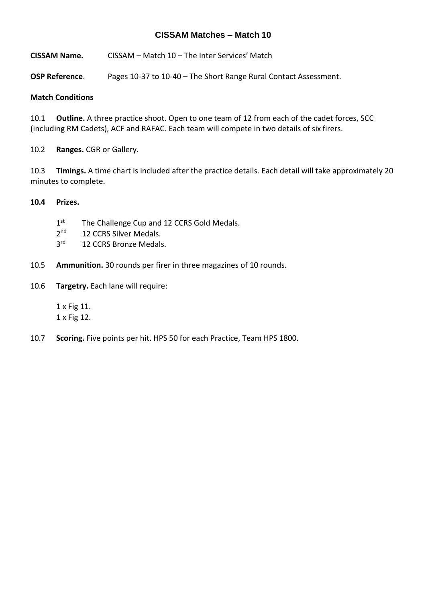**CISSAM Name.** CISSAM – Match 10 – The Inter Services' Match

**OSP Reference**. Pages 10-37 to 10-40 – The Short Range Rural Contact Assessment.

#### **Match Conditions**

10.1 **Outline.** A three practice shoot. Open to one team of 12 from each of the cadet forces, SCC (including RM Cadets), ACF and RAFAC. Each team will compete in two details of six firers.

10.2 **Ranges.** CGR or Gallery.

10.3 **Timings.** A time chart is included after the practice details. Each detail will take approximately 20 minutes to complete.

#### **10.4 Prizes.**

- $1<sup>st</sup>$ The Challenge Cup and 12 CCRS Gold Medals.
- $2<sup>nd</sup>$ 12 CCRS Silver Medals.
- $3<sup>rd</sup>$ 12 CCRS Bronze Medals.
- 10.5 **Ammunition.** 30 rounds per firer in three magazines of 10 rounds.
- 10.6 **Targetry.** Each lane will require:

1 x Fig 11. 1 x Fig 12.

10.7 **Scoring.** Five points per hit. HPS 50 for each Practice, Team HPS 1800.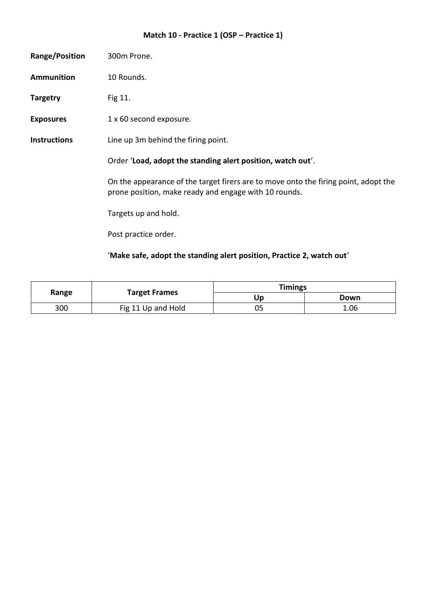# **Match 10 - Practice 1 (OSP – Practice 1)**

| Range/Position      | 300m Prone.                                                                                                                                  |
|---------------------|----------------------------------------------------------------------------------------------------------------------------------------------|
| <b>Ammunition</b>   | 10 Rounds.                                                                                                                                   |
| <b>Targetry</b>     | Fig 11.                                                                                                                                      |
| <b>Exposures</b>    | 1 x 60 second exposure.                                                                                                                      |
| <b>Instructions</b> | Line up 3m behind the firing point.                                                                                                          |
|                     | Order 'Load, adopt the standing alert position, watch out'.                                                                                  |
|                     | On the appearance of the target firers are to move onto the firing point, adopt the<br>prone position, make ready and engage with 10 rounds. |
|                     | Targets up and hold.                                                                                                                         |
|                     | Post practice order.                                                                                                                         |
|                     | 'Make safe, adopt the standing alert position, Practice 2, watch out'                                                                        |

| Range | <b>Target Frames</b> | <b>Timings</b> |      |
|-------|----------------------|----------------|------|
|       |                      | Up             | Down |
| 300   | Fig 11 Up and Hold   | 05             | 1.06 |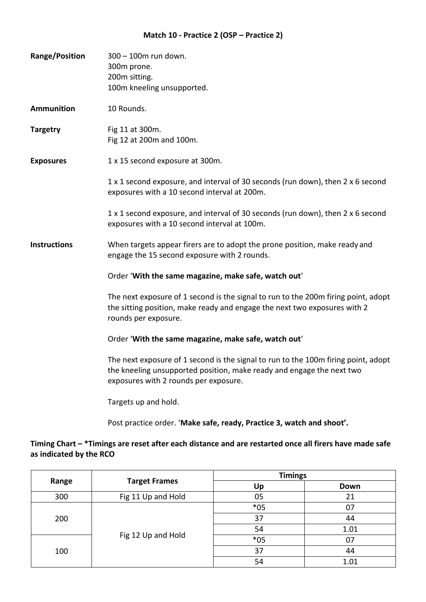#### **Match 10 - Practice 2 (OSP – Practice 2)**

| <b>Range/Position</b> | 300 - 100m run down.<br>300m prone.<br>200m sitting.<br>100m kneeling unsupported.                                                                                                                   |  |
|-----------------------|------------------------------------------------------------------------------------------------------------------------------------------------------------------------------------------------------|--|
| <b>Ammunition</b>     | 10 Rounds.                                                                                                                                                                                           |  |
| <b>Targetry</b>       | Fig 11 at 300m.<br>Fig 12 at 200m and 100m.                                                                                                                                                          |  |
| <b>Exposures</b>      | 1 x 15 second exposure at 300m.                                                                                                                                                                      |  |
|                       | 1 x 1 second exposure, and interval of 30 seconds (run down), then 2 x 6 second<br>exposures with a 10 second interval at 200m.                                                                      |  |
|                       | 1 x 1 second exposure, and interval of 30 seconds (run down), then 2 x 6 second<br>exposures with a 10 second interval at 100m.                                                                      |  |
| <b>Instructions</b>   | When targets appear firers are to adopt the prone position, make ready and<br>engage the 15 second exposure with 2 rounds.                                                                           |  |
|                       | Order 'With the same magazine, make safe, watch out'                                                                                                                                                 |  |
|                       | The next exposure of 1 second is the signal to run to the 200m firing point, adopt<br>the sitting position, make ready and engage the next two exposures with 2<br>rounds per exposure.              |  |
|                       | Order 'With the same magazine, make safe, watch out'                                                                                                                                                 |  |
|                       | The next exposure of 1 second is the signal to run to the 100m firing point, adopt<br>the kneeling unsupported position, make ready and engage the next two<br>exposures with 2 rounds per exposure. |  |
|                       |                                                                                                                                                                                                      |  |

Targets up and hold.

Post practice order. '**Make safe, ready, Practice 3, watch and shoot'.**

### **Timing Chart – \*Timings are reset after each distance and are restarted once all firers have made safe as indicated by the RCO**

| Range | <b>Target Frames</b> | <b>Timings</b> |      |
|-------|----------------------|----------------|------|
|       |                      | Up             | Down |
| 300   | Fig 11 Up and Hold   | 05             | 21   |
| 200   | Fig 12 Up and Hold   | $*05$          | 07   |
|       |                      | 37             | 44   |
|       |                      | 54             | 1.01 |
| 100   |                      | $*05$          | 07   |
|       |                      | 37             | 44   |
|       |                      | 54             | 1.01 |